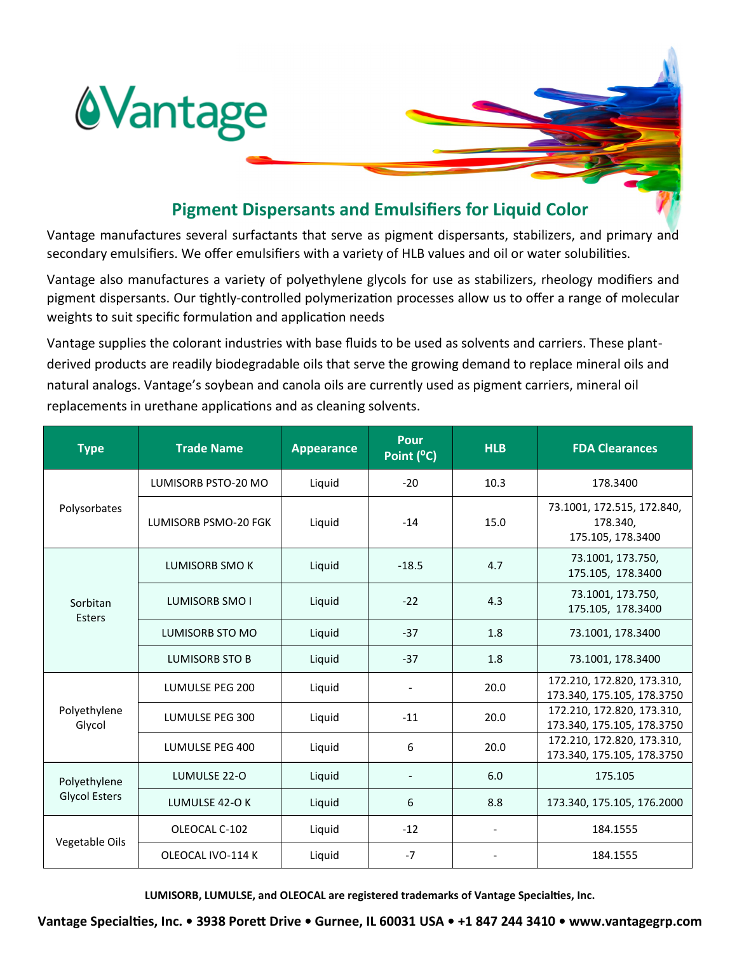

## **Pigment Dispersants and Emulsifiers for Liquid Color**

Vantage manufactures several surfactants that serve as pigment dispersants, stabilizers, and primary and secondary emulsifiers. We offer emulsifiers with a variety of HLB values and oil or water solubilities.

Vantage also manufactures a variety of polyethylene glycols for use as stabilizers, rheology modifiers and pigment dispersants. Our tightly-controlled polymerization processes allow us to offer a range of molecular weights to suit specific formulation and application needs

Vantage supplies the colorant industries with base fluids to be used as solvents and carriers. These plantderived products are readily biodegradable oils that serve the growing demand to replace mineral oils and natural analogs. Vantage's soybean and canola oils are currently used as pigment carriers, mineral oil replacements in urethane applications and as cleaning solvents.

| <b>Type</b>                          | <b>Trade Name</b>      | <b>Appearance</b> | <b>Pour</b><br>Point (°C) | <b>HLB</b> | <b>FDA Clearances</b>                                       |
|--------------------------------------|------------------------|-------------------|---------------------------|------------|-------------------------------------------------------------|
| Polysorbates                         | LUMISORB PSTO-20 MO    | Liquid            | $-20$                     | 10.3       | 178.3400                                                    |
|                                      | LUMISORB PSMO-20 FGK   | Liquid            | $-14$                     | 15.0       | 73.1001, 172.515, 172.840,<br>178.340,<br>175.105, 178.3400 |
| Sorbitan<br><b>Esters</b>            | LUMISORB SMO K         | Liquid            | $-18.5$                   | 4.7        | 73.1001, 173.750,<br>175.105, 178.3400                      |
|                                      | LUMISORB SMO I         | Liquid            | $-22$                     | 4.3        | 73.1001, 173.750,<br>175.105, 178.3400                      |
|                                      | <b>LUMISORB STO MO</b> | Liquid            | $-37$                     | 1.8        | 73.1001, 178.3400                                           |
|                                      | LUMISORB STO B         | Liquid            | $-37$                     | 1.8        | 73.1001, 178.3400                                           |
| Polyethylene<br>Glycol               | LUMULSE PEG 200        | Liquid            |                           | 20.0       | 172.210, 172.820, 173.310,<br>173.340, 175.105, 178.3750    |
|                                      | LUMULSE PEG 300        | Liquid            | $-11$                     | 20.0       | 172.210, 172.820, 173.310,<br>173.340, 175.105, 178.3750    |
|                                      | LUMULSE PEG 400        | Liquid            | 6                         | 20.0       | 172.210, 172.820, 173.310,<br>173.340, 175.105, 178.3750    |
| Polyethylene<br><b>Glycol Esters</b> | LUMULSE 22-O           | Liquid            |                           | 6.0        | 175.105                                                     |
|                                      | LUMULSE 42-O K         | Liquid            | 6                         | 8.8        | 173.340, 175.105, 176.2000                                  |
| Vegetable Oils                       | OLEOCAL C-102          | Liquid            | $-12$                     |            | 184.1555                                                    |
|                                      | OLEOCAL IVO-114 K      | Liquid            | $-7$                      |            | 184.1555                                                    |

**LUMISORB, LUMULSE, and OLEOCAL are registered trademarks of Vantage Specialties, Inc.**

**Vantage Specialties, Inc. • 3938 Porett Drive • Gurnee, IL 60031 USA • +1 847 244 3410 • www.vantagegrp.com**